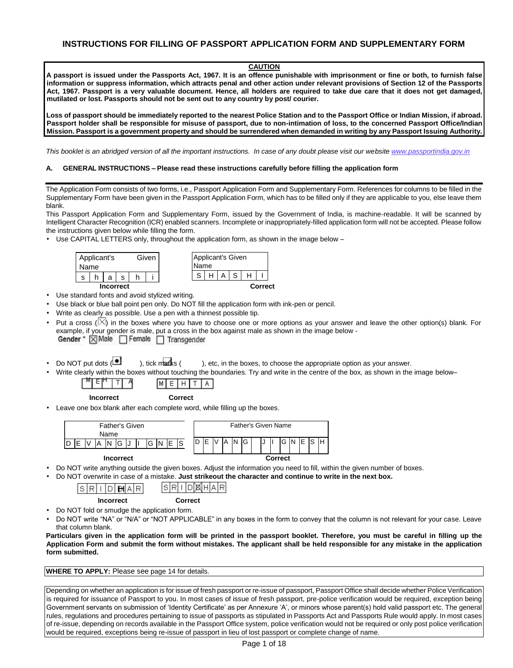# **CAUTION**

**A passport is issued under the Passports Act, 1967. It is an offence punishable with imprisonment or fine or both, to furnish false information or suppress information, which attracts penal and other action under relevant provisions of Section 12 of the Passports Act, 1967. Passport is a very valuable document. Hence, all holders are required to take due care that it does not get damaged, mutilated or lost. Passports should not be sent out to any country by post/ courier.** 

**Loss of passport should be immediately reported to the nearest Police Station and to the Passport Office or Indian Mission, if abroad. Passport holder shall be responsible for misuse of passport, due to non-intimation of loss, to the concerned Passport Office/Indian Mission. Passport is a government property and should be surrendered when demanded in writing by any Passport Issuing Authority.** 

*This booklet is an abridged version of all the important instructions. In case of any doubt please visit our website www.passportindia.gov.in*

#### **A. GENERAL INSTRUCTIONS – Please read these instructions carefully before filling the application form**

The Application Form consists of two forms, i.e., Passport Application Form and Supplementary Form. References for columns to be filled in the Supplementary Form have been given in the Passport Application Form, which has to be filled only if they are applicable to you, else leave them blank.

This Passport Application Form and Supplementary Form, issued by the Government of India, is machine-readable. It will be scanned by Intelligent Character Recognition (ICR) enabled scanners. Incomplete or inappropriately-filled application form will not be accepted. Please follow the instructions given below while filling the form.

• Use CAPITAL LETTERS only, throughout the application form, as shown in the image below -



- Use standard fonts and avoid stylized writing.
- Use black or blue ball point pen only. Do NOT fill the application form with ink-pen or pencil.
- Write as clearly as possible. Use a pen with a thinnest possible tip.
- Put a cross ( $\vert\angle\vert$ ) in the boxes where you have to choose one or more options as your answer and leave the other option(s) blank. For example, if your gender is male, put a cross in the box against male as shown in the image below - Gender \* | X| Male | Female | Transgender
- Do NOT put dots ( ), tick marks ( ), etc, in the boxes, to choose the appropriate option as your answer.
- Write clearly within the boxes without touching the boundaries. Try and write in the centre of the box, as shown in the image below–

|  | l M |
|--|-----|
|--|-----|

 **Incorrect Correct** 

• Leave one box blank after each complete word, while filling up the boxes.



#### **Incorrect** Correct Correct Correct Correct Correct Correct Correct Correct Correct Correct Correct Correct Correct Correct Correct Correct Correct Correct Correct Correct Correct Correct Correct Correct Correct Correct Co

• Do NOT write anything outside the given boxes. Adjust the information you need to fill, within the given number of boxes.

• Do NOT overwrite in case of a mistake. **Just strikeout the character and continue to write in the next box.** 

|  | s |  | Δ<br>I EHI. |  |  |  |  |  | MIE |  |  |  |
|--|---|--|-------------|--|--|--|--|--|-----|--|--|--|
|--|---|--|-------------|--|--|--|--|--|-----|--|--|--|

 **Incorrect Correct**

- Do NOT fold or smudge the application form.
- Do NOT write "NA" or "N/A" or "NOT APPLICABLE" in any boxes in the form to convey that the column is not relevant for your case. Leave that column blank.

**Particulars given in the application form will be printed in the passport booklet. Therefore, you must be careful in filling up the Application Form and submit the form without mistakes. The applicant shall be held responsible for any mistake in the application form submitted.** 

**WHERE TO APPLY:** Please see page 14 for details.

Depending on whether an application is for issue of fresh passport or re-issue of passport, Passport Office shall decide whether Police Verification is required for issuance of Passport to you. In most cases of issue of fresh passport, pre-police verification would be required, exception being Government servants on submission of 'Identity Certificate' as per Annexure 'A', or minors whose parent(s) hold valid passport etc. The general rules, regulations and procedures pertaining to issue of passports as stipulated in Passports Act and Passports Rule would apply. In most cases of re-issue, depending on records available in the Passport Office system, police verification would not be required or only post police verification would be required, exceptions being re-issue of passport in lieu of lost passport or complete change of name.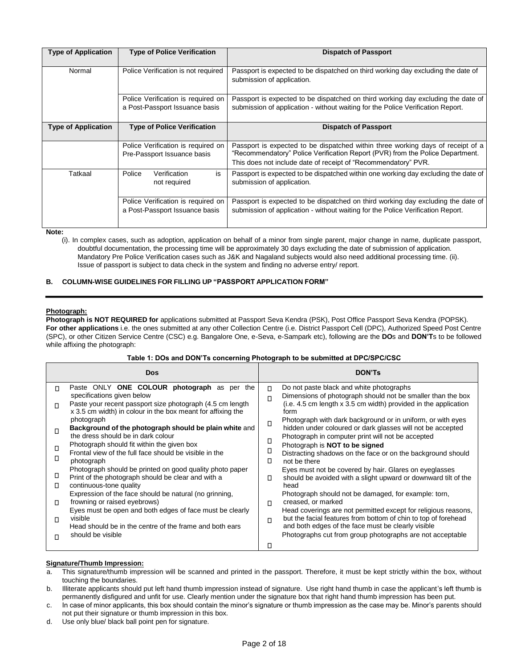| <b>Type of Application</b> | <b>Type of Police Verification</b>                                   | <b>Dispatch of Passport</b>                                                                                                                                         |
|----------------------------|----------------------------------------------------------------------|---------------------------------------------------------------------------------------------------------------------------------------------------------------------|
|                            |                                                                      |                                                                                                                                                                     |
| Normal                     | Police Verification is not required                                  | Passport is expected to be dispatched on third working day excluding the date of<br>submission of application.                                                      |
|                            | Police Verification is required on                                   | Passport is expected to be dispatched on third working day excluding the date of                                                                                    |
|                            | a Post-Passport Issuance basis                                       | submission of application - without waiting for the Police Verification Report.                                                                                     |
| <b>Type of Application</b> | <b>Type of Police Verification</b>                                   | <b>Dispatch of Passport</b>                                                                                                                                         |
|                            |                                                                      |                                                                                                                                                                     |
|                            | Police Verification is required on<br>Pre-Passport Issuance basis    | Passport is expected to be dispatched within three working days of receipt of a<br>"Recommendatory" Police Verification Report (PVR) from the Police Department.    |
|                            |                                                                      | This does not include date of receipt of "Recommendatory" PVR.                                                                                                      |
| Tatkaal                    | is<br>Police<br>Verification<br>not required                         | Passport is expected to be dispatched within one working day excluding the date of<br>submission of application.                                                    |
|                            | Police Verification is required on<br>a Post-Passport Issuance basis | Passport is expected to be dispatched on third working day excluding the date of<br>submission of application - without waiting for the Police Verification Report. |

**Note:** 

(i). In complex cases, such as adoption, application on behalf of a minor from single parent, major change in name, duplicate passport, doubtful documentation, the processing time will be approximately 30 days excluding the date of submission of application. Mandatory Pre Police Verification cases such as J&K and Nagaland subjects would also need additional processing time. (ii). Issue of passport is subject to data check in the system and finding no adverse entry/ report.

# **B. COLUMN-WISE GUIDELINES FOR FILLING UP "PASSPORT APPLICATION FORM"**

#### **Photograph:**

**Photograph is NOT REQUIRED for** applications submitted at Passport Seva Kendra (PSK), Post Office Passport Seva Kendra (POPSK). **For other applications** i.e. the ones submitted at any other Collection Centre (i.e. District Passport Cell (DPC), Authorized Speed Post Centre (SPC), or other Citizen Service Centre (CSC) e.g. Bangalore One, e-Seva, e-Sampark etc), following are the **DO**s and **DON'T**s to be followed while affixing the photograph:

## **Table 1: DOs and DON'Ts concerning Photograph to be submitted at DPC/SPC/CSC**

|        | Dos                                                                                                                                                |                  | <b>DON'TS</b>                                                                                                                                                                  |
|--------|----------------------------------------------------------------------------------------------------------------------------------------------------|------------------|--------------------------------------------------------------------------------------------------------------------------------------------------------------------------------|
| $\Box$ | Paste ONLY ONE COLOUR photograph as per the<br>specifications given below                                                                          | $\Box$<br>$\Box$ | Do not paste black and white photographs<br>Dimensions of photograph should not be smaller than the box                                                                        |
| п      | Paste your recent passport size photograph (4.5 cm length)<br>x 3.5 cm width) in colour in the box meant for affixing the                          |                  | (i.e. 4.5 cm length x 3.5 cm width) provided in the application<br>form                                                                                                        |
| п      | photograph<br>Background of the photograph should be plain white and<br>the dress should be in dark colour                                         | $\Box$           | Photograph with dark background or in uniform, or with eyes<br>hidden under coloured or dark glasses will not be accepted<br>Photograph in computer print will not be accepted |
| п      | Photograph should fit within the given box<br>Frontal view of the full face should be visible in the                                               | П<br>□           | Photograph is <b>NOT</b> to be signed<br>Distracting shadows on the face or on the background should                                                                           |
| □      | photograph<br>Photograph should be printed on good quality photo paper                                                                             | п.               | not be there<br>Eyes must not be covered by hair. Glares on eyeglasses                                                                                                         |
| Ц<br>□ | Print of the photograph should be clear and with a<br>continuous-tone quality                                                                      | O                | should be avoided with a slight upward or downward tilt of the<br>head                                                                                                         |
| $\Box$ | Expression of the face should be natural (no grinning,<br>frowning or raised eyebrows)<br>Eyes must be open and both edges of face must be clearly | П                | Photograph should not be damaged, for example: torn,<br>creased, or marked<br>Head coverings are not permitted except for religious reasons,                                   |
| п      | visible<br>Head should be in the centre of the frame and both ears                                                                                 | П                | but the facial features from bottom of chin to top of forehead<br>and both edges of the face must be clearly visible                                                           |
| п      | should be visible                                                                                                                                  | □                | Photographs cut from group photographs are not acceptable                                                                                                                      |

#### **Signature/Thumb Impression:**

- a. This signature/thumb impression will be scanned and printed in the passport. Therefore, it must be kept strictly within the box, without touching the boundaries.
- b. Illiterate applicants should put left hand thumb impression instead of signature. Use right hand thumb in case the applicant's left thumb is permanently disfigured and unfit for use. Clearly mention under the signature box that right hand thumb impression has been put.
- c. In case of minor applicants, this box should contain the minor's signature or thumb impression as the case may be. Minor's parents should not put their signature or thumb impression in this box.
- d. Use only blue/ black ball point pen for signature.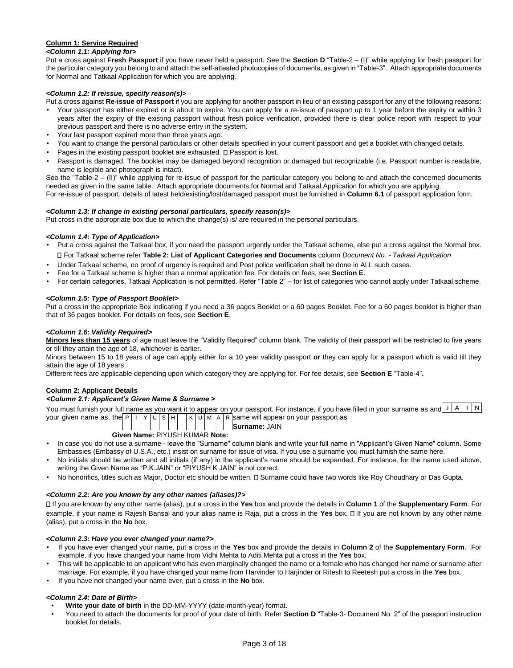# **Column 1: Service Required**

# *<Column 1.1: Applying for>*

Put a cross against **Fresh Passport** if you have never held a passport. See the **Section D** "Table-2 – (I)" while applying for fresh passport for the particular category you belong to and attach the self-attested photocopies of documents, as given in "Table-3". Attach appropriate documents for Normal and Tatkaal Application for which you are applying.

## *<Column 1.2: If reissue, specify reason(s)>*

Put a cross against **Re-issue of Passport** if you are applying for another passport in lieu of an existing passport for any of the following reasons:

- Your passport has either expired or is about to expire. You can apply for a re-issue of passport up to 1 year before the expiry or within 3 years after the expiry of the existing passport without fresh police verification, provided there is clear police report with respect to your previous passport and there is no adverse entry in the system.
- Your last passport expired more than three years ago.
- You want to change the personal particulars or other details specified in your current passport and get a booklet with changed details.
- Pages in the existing passport booklet are exhausted.  $\square$  Passport is lost.
- Passport is damaged. The booklet may be damaged beyond recognition or damaged but recognizable (i.e. Passport number is readable, name is legible and photograph is intact).

See the "Table-2 – (II)" while applying for re-issue of passport for the particular category you belong to and attach the concerned documents needed as given in the same table. Attach appropriate documents for Normal and Tatkaal Application for which you are applying. For re-issue of passport, details of latest held/existing/lost/damaged passport must be furnished in **Column 6.1** of passport application form.

## *<Column 1.3: If change in existing personal particulars, specify reason(s)>*

Put cross in the appropriate box due to which the change(s) is/ are required in the personal particulars.

### *<Column 1.4: Type of Application>*

- Put a cross against the Tatkaal box, if you need the passport urgently under the Tatkaal scheme, else put a cross against the Normal box. For Tatkaal scheme refer **Table 2: List of Applicant Categories and Documents** column *Document No. - Tatkaal Application*
- Under Tatkaal scheme, no proof of urgency is required and Post police verification shall be done in ALL such cases.
- Fee for a Tatkaal scheme is higher than a normal application fee. For details on fees, see **Section E**.
- For certain categories, Tatkaal Application is not permitted. Refer "Table 2" for list of categories who cannot apply under Tatkaal scheme.

## *<Column 1.5: Type of Passport Booklet>*

Put a cross in the appropriate Box indicating if you need a 36 pages Booklet or a 60 pages Booklet. Fee for a 60 pages booklet is higher than that of 36 pages booklet. For details on fees, see **Section E**.

## *<Column 1.6: Validity Required>*

**Minors less than 15 years** of age must leave the "Validity Required" column blank. The validity of their passport will be restricted to five years or till they attain the age of 18, whichever is earlier.

Minors between 15 to 18 years of age can apply either for a 10 year validity passport **or** they can apply for a passport which is valid till they attain the age of 18 years.

Different fees are applicable depending upon which category they are applying for. For fee details, see **Section E** "Table-4"**.** 

#### **Column 2: Applicant Details**

### *<Column 2.1: Applicant's Given Name & Surname >*

You must furnish your full name as you want it to appear on your passport. For instance, if you have filled in your surname as and  $\left| J\right| A\left| I\right| N$  $\sqrt{K|U|M|A|R}$  same will appear on your passport as: your given name as, the  $P \mid |Y| \cup |S|$  H

**Surname:** JAIN

# **Given Name:** PIYUSH KUMAR **Note:**

- In case you do not use a surname leave the "Surname" column blank and write your full name in "Applicant's Given Name" column. Some Embassies (Embassy of U.S.A., etc.) insist on surname for issue of visa. If you use a surname you must furnish the same here.
- No initials should be written and all initials (if any) in the applicant's name should be expanded. For instance, for the name used above, writing the Given Name as "P.K.JAIN" or "PIYUSH K JAIN" is not correct.
- No honorifics, titles such as Major, Doctor etc should be written. I Surname could have two words like Roy Choudhary or Das Gupta.

#### *<Column 2.2: Are you known by any other names (aliases)?>*

If you are known by any other name (alias), put a cross in the **Yes** box and provide the details in **Column 1** of the **Supplementary Form**. For example, if your name is Rajesh Bansal and your alias name is Raja, put a cross in the **Yes** box. If you are not known by any other name (alias), put a cross in the **No** box.

#### *<Column 2.3: Have you ever changed your name?>*

- If you have ever changed your name, put a cross in the **Yes** box and provide the details in **Column 2** of the **Supplementary Form**. For example, if you have changed your name from Vidhi Mehta to Aditi Mehta put a cross in the **Yes** box.
- This will be applicable to an applicant who has even marginally changed the name or a female who has changed her name or surname after marriage. For example, if you have changed your name from Harvinder to Harjinder or Ritesh to Reetesh put a cross in the **Yes** box.
- If you have not changed your name ever, put a cross in the **No** box.

# *<Column 2.4: Date of Birth>*

- **Write your date of birth** in the DD-MM-YYYY (date-month-year) format.
- You need to attach the documents for proof of your date of birth. Refer **Section D** "Table-3- Document No. 2" of the passport instruction booklet for details.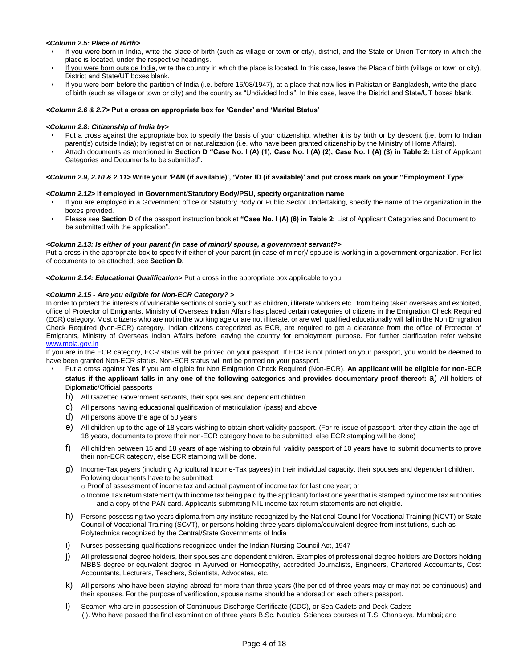### *<Column 2.5: Place of Birth>*

- If you were born in India, write the place of birth (such as village or town or city), district, and the State or Union Territory in which the place is located, under the respective headings.
- If you were born outside India, write the country in which the place is located. In this case, leave the Place of birth (village or town or city), District and State/UT boxes blank.
- If you were born before the partition of India (i.e. before 15/08/1947), at a place that now lies in Pakistan or Bangladesh, write the place of birth (such as village or town or city) and the country as "Undivided India". In this case, leave the District and State/UT boxes blank.

#### *<Column 2.6 & 2.7>* **Put a cross on appropriate box for 'Gender' and 'Marital Status'**

#### *<Column 2.8: Citizenship of India by>*

- Put a cross against the appropriate box to specify the basis of your citizenship, whether it is by birth or by descent (i.e. born to Indian parent(s) outside India); by registration or naturalization (i.e. who have been granted citizenship by the Ministry of Home Affairs).
- Attach documents as mentioned in **Section D "Case No. I (A) (1), Case No. I (A) (2), Case No. I (A) (3) in Table 2:** List of Applicant Categories and Documents to be submitted"**.**

#### *<Column 2.9, 2.10 & 2.11>* **Write your** *'***PAN (if available)', 'Voter ID (if available)' and put cross mark on your ''Employment Type'**

#### *<Column 2.12>* **If employed in Government/Statutory Body/PSU, specify organization name**

- If you are employed in a Government office or Statutory Body or Public Sector Undertaking, specify the name of the organization in the boxes provided.
- Please see **Section D** of the passport instruction booklet **"Case No. I (A) (6) in Table 2:** List of Applicant Categories and Document to be submitted with the application".

#### *<Column 2.13: Is either of your parent (in case of minor)/ spouse, a government servant?>*

Put a cross in the appropriate box to specify if either of your parent (in case of minor)/ spouse is working in a government organization. For list of documents to be attached, see **Section D.**

*<Column 2.14: Educational Qualification>* Put a cross in the appropriate box applicable to you

#### *<Column 2.15 - Are you eligible for Non-ECR Category? >*

In order to protect the interests of vulnerable sections of society such as children, illiterate workers etc., from being taken overseas and exploited, office of Protector of Emigrants, Ministry of Overseas Indian Affairs has placed certain categories of citizens in the Emigration Check Required (ECR) category. Most citizens who are not in the working age or are not illiterate, or are well qualified educationally will fall in the Non Emigration Check Required (Non-ECR) category. Indian citizens categorized as ECR, are required to get a clearance from the office of Protector of Emigrants, Ministry of Overseas Indian Affairs before leaving the country for employment purpose. For further clarification refer webs[ite](http://www.moia.gov.in/)  [www.moia.gov.in](http://www.moia.gov.in/)

If you are in the ECR category, ECR status will be printed on your passport. If ECR is not printed on your passport, you would be deemed to have been granted Non-ECR status. Non-ECR status will not be printed on your passport.

- Put a cross against **Yes** if you are eligible for Non Emigration Check Required (Non-ECR). **An applicant will be eligible for non-ECR status if the applicant falls in any one of the following categories and provides documentary proof thereof:** a) All holders of Diplomatic/Official passports
- b) All Gazetted Government servants, their spouses and dependent children
- c) All persons having educational qualification of matriculation (pass) and above
- d) All persons above the age of 50 years
- e) All children up to the age of 18 years wishing to obtain short validity passport. (For re-issue of passport, after they attain the age of 18 years, documents to prove their non-ECR category have to be submitted, else ECR stamping will be done)
- f) All children between 15 and 18 years of age wishing to obtain full validity passport of 10 years have to submit documents to prove their non-ECR category, else ECR stamping will be done.
- g) Income-Tax payers (including Agricultural Income-Tax payees) in their individual capacity, their spouses and dependent children. Following documents have to be submitted:
	- o Proof of assessment of income tax and actual payment of income tax for last one year; or
	- o Income Tax return statement (with income tax being paid by the applicant) for last one year that is stamped by income tax authorities and a copy of the PAN card. Applicants submitting NIL income tax return statements are not eligible.
- h) Persons possessing two years diploma from any institute recognized by the National Council for Vocational Training (NCVT) or State Council of Vocational Training (SCVT), or persons holding three years diploma/equivalent degree from institutions, such as Polytechnics recognized by the Central/State Governments of India
- i) Nurses possessing qualifications recognized under the Indian Nursing Council Act, 1947
- j) All professional degree holders, their spouses and dependent children. Examples of professional degree holders are Doctors holding MBBS degree or equivalent degree in Ayurved or Homeopathy, accredited Journalists, Engineers, Chartered Accountants, Cost Accountants, Lecturers, Teachers, Scientists, Advocates, etc.
- k) All persons who have been staying abroad for more than three years (the period of three years may or may not be continuous) and their spouses. For the purpose of verification, spouse name should be endorsed on each others passport.
- l) Seamen who are in possession of Continuous Discharge Certificate (CDC), or Sea Cadets and Deck Cadets (i). Who have passed the final examination of three years B.Sc. Nautical Sciences courses at T.S. Chanakya, Mumbai; and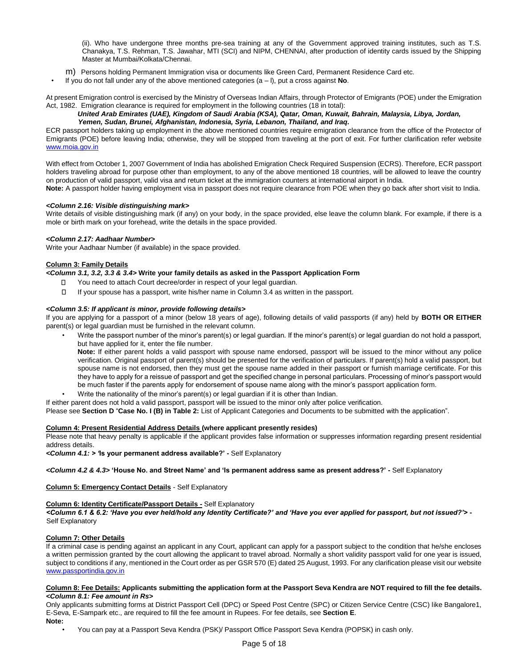(ii). Who have undergone three months pre-sea training at any of the Government approved training institutes, such as T.S. Chanakya, T.S. Rehman, T.S. Jawahar, MTI (SCI) and NIPM, CHENNAI, after production of identity cards issued by the Shipping Master at Mumbai/Kolkata/Chennai.

- m) Persons holding Permanent Immigration visa or documents like Green Card, Permanent Residence Card etc.
- If you do not fall under any of the above mentioned categories (a l), put a cross against **No**.

At present Emigration control is exercised by the Ministry of Overseas Indian Affairs, through Protector of Emigrants (POE) under the Emigration Act, 1982. Emigration clearance is required for employment in the following countries (18 in total):

## *United Arab Emirates (UAE), Kingdom of Saudi Arabia (KSA), Qatar, Oman, Kuwait, Bahrain, Malaysia, Libya, Jordan, Yemen, Sudan, Brunei, Afghanistan, Indonesia, Syria, Lebanon, Thailand, and Iraq.*

ECR passport holders taking up employment in the above mentioned countries require emigration clearance from the office of the Protector of Emigrants (POE) before leaving India; otherwise, they will be stopped from traveling at the port of exit. For further clarification refer website [www.moia.gov.in](http://www.moia.gov.in/)

With effect from October 1, 2007 Government of India has abolished Emigration Check Required Suspension (ECRS). Therefore, ECR passport holders traveling abroad for purpose other than employment, to any of the above mentioned 18 countries, will be allowed to leave the country on production of valid passport, valid visa and return ticket at the immigration counters at international airport in India. **Note:** A passport holder having employment visa in passport does not require clearance from POE when they go back after short visit to India.

## *<Column 2.16: Visible distinguishing mark>*

Write details of visible distinguishing mark (if any) on your body, in the space provided, else leave the column blank. For example, if there is a mole or birth mark on your forehead, write the details in the space provided.

## *<Column 2.17: Aadhaar Number>*

Write your Aadhaar Number (if available) in the space provided.

#### **Column 3: Family Details**

*<Column 3.1, 3.2, 3.3 & 3.4>* **Write your family details as asked in the Passport Application Form** 

- □ You need to attach Court decree/order in respect of your legal guardian.
- $\Box$ If your spouse has a passport, write his/her name in Column 3.4 as written in the passport.

### *<Column 3.5: If applicant is minor, provide following details>*

If you are applying for a passport of a minor (below 18 years of age), following details of valid passports (if any) held by **BOTH OR EITHER** parent(s) or legal guardian must be furnished in the relevant column.

• Write the passport number of the minor's parent(s) or legal guardian. If the minor's parent(s) or legal guardian do not hold a passport, but have applied for it, enter the file number.

**Note:** If either parent holds a valid passport with spouse name endorsed, passport will be issued to the minor without any police verification. Original passport of parent(s) should be presented for the verification of particulars. If parent(s) hold a valid passport, but spouse name is not endorsed, then they must get the spouse name added in their passport or furnish marriage certificate. For this they have to apply for a reissue of passport and get the specified change in personal particulars. Processing of minor's passport would be much faster if the parents apply for endorsement of spouse name along with the minor's passport application form.

• Write the nationality of the minor's parent(s) or legal guardian if it is other than Indian.

If either parent does not hold a valid passport, passport will be issued to the minor only after police verification.

Please see **Section D** "**Case No. I (B) in Table 2:** List of Applicant Categories and Documents to be submitted with the application".

#### **Column 4: Present Residential Address Details (where applicant presently resides)**

Please note that heavy penalty is applicable if the applicant provides false information or suppresses information regarding present residential address details.

*<Column 4.1: > '***Is your permanent address available?' -** Self Explanatory

*<Column 4.2 & 4.3>* **'House No. and Street Name' and 'Is permanent address same as present address?' -** Self Explanatory

**Column 5: Emergency Contact Details** - Self Explanatory

## **Column 6: Identity Certificate/Passport Details -** Self Explanatory

*<Column 6.1 & 6.2: 'Have you ever held/hold any Identity Certificate?' and 'Have you ever applied for passport, but not issued?'>* **-** Self Explanatory

#### **Column 7: Other Details**

If a criminal case is pending against an applicant in any Court, applicant can apply for a passport subject to the condition that he/she encloses a written permission granted by the court allowing the applicant to travel abroad. Normally a short validity passport valid for one year is issued, subject to conditions if any, mentioned in the Court order as per GSR 570 (E) dated 25 August, 1993. For any clarification please visit our website www.passportindia.gov.in

#### **Column 8: Fee Details: Applicants submitting the application form at the Passport Seva Kendra are NOT required to fill the fee details.** *<Column 8.1: Fee amount in Rs>*

Only applicants submitting forms at District Passport Cell (DPC) or Speed Post Centre (SPC) or Citizen Service Centre (CSC) like Bangalore1, E-Seva, E-Sampark etc., are required to fill the fee amount in Rupees. For fee details, see **Section E**.

**Note:**

• You can pay at a Passport Seva Kendra (PSK)/ Passport Office Passport Seva Kendra (POPSK) in cash only.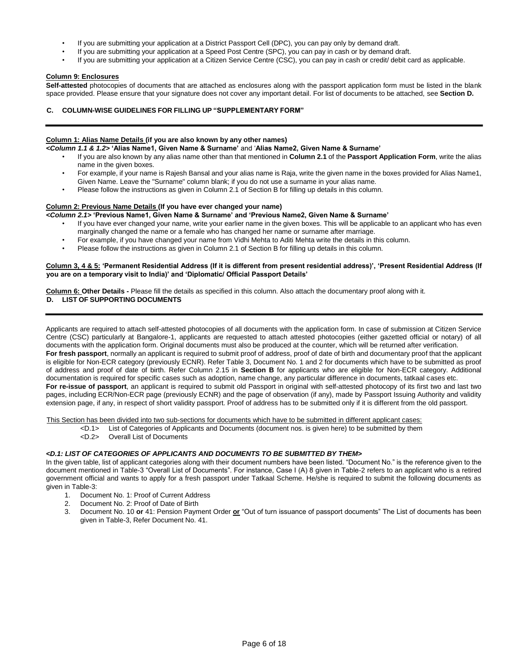- If you are submitting your application at a District Passport Cell (DPC), you can pay only by demand draft.
- If you are submitting your application at a Speed Post Centre (SPC), you can pay in cash or by demand draft.
- If you are submitting your application at a Citizen Service Centre (CSC), you can pay in cash or credit/ debit card as applicable.

## **Column 9: Enclosures**

**Self-attested** photocopies of documents that are attached as enclosures along with the passport application form must be listed in the blank space provided. Please ensure that your signature does not cover any important detail. For list of documents to be attached, see **Section D.**

# **C. COLUMN-WISE GUIDELINES FOR FILLING UP "SUPPLEMENTARY FORM"**

# **Column 1: Alias Name Details (if you are also known by any other names)**

- *<Column 1.1 & 1.2>* **'Alias Name1, Given Name & Surname'** and '**Alias Name2, Given Name & Surname'** 
	- If you are also known by any alias name other than that mentioned in **Column 2.1** of the **Passport Application Form**, write the alias name in the given boxes.
	- For example, if your name is Rajesh Bansal and your alias name is Raja, write the given name in the boxes provided for Alias Name1, Given Name. Leave the "Surname" column blank; if you do not use a surname in your alias name.
	- Please follow the instructions as given in Column 2.1 of Section B for filling up details in this column.

## **Column 2: Previous Name Details (If you have ever changed your name)**

## *<Column 2.1>* **'Previous Name1, Given Name & Surname' and 'Previous Name2, Given Name & Surname'**

- If you have ever changed your name, write your earlier name in the given boxes. This will be applicable to an applicant who has even marginally changed the name or a female who has changed her name or surname after marriage.
- For example, if you have changed your name from Vidhi Mehta to Aditi Mehta write the details in this column.
- Please follow the instructions as given in Column 2.1 of Section B for filling up details in this column.

#### **Column 3, 4 & 5: 'Permanent Residential Address (If it is different from present residential address)', 'Present Residential Address (If you are on a temporary visit to India)' and 'Diplomatic/ Official Passport Details'**

**Column 6: Other Details -** Please fill the details as specified in this column. Also attach the documentary proof along with it. **D. LIST OF SUPPORTING DOCUMENTS** 

Applicants are required to attach self-attested photocopies of all documents with the application form. In case of submission at Citizen Service Centre (CSC) particularly at Bangalore-1, applicants are requested to attach attested photocopies (either gazetted official or notary) of all documents with the application form. Original documents must also be produced at the counter, which will be returned after verification. **For fresh passport**, normally an applicant is required to submit proof of address, proof of date of birth and documentary proof that the applicant is eligible for Non-ECR category (previously ECNR). Refer Table 3, Document No. 1 and 2 for documents which have to be submitted as proof of address and proof of date of birth. Refer Column 2.15 in **Section B** for applicants who are eligible for Non-ECR category. Additional documentation is required for specific cases such as adoption, name change, any particular difference in documents, tatkaal cases etc. **For re-issue of passport**, an applicant is required to submit old Passport in original with self-attested photocopy of its first two and last two pages, including ECR/Non-ECR page (previously ECNR) and the page of observation (if any), made by Passport Issuing Authority and validity extension page, if any, in respect of short validity passport. Proof of address has to be submitted only if it is different from the old passport.

This Section has been divided into two sub-sections for documents which have to be submitted in different applicant cases:

- <D.1> List of Categories of Applicants and Documents (document nos. is given here) to be submitted by them
	- <D.2> Overall List of Documents

#### *<D.1: LIST OF CATEGORIES OF APPLICANTS AND DOCUMENTS TO BE SUBMITTED BY THEM>*

In the given table, list of applicant categories along with their document numbers have been listed. "Document No." is the reference given to the document mentioned in Table-3 "Overall List of Documents". For instance, Case I (A) 8 given in Table-2 refers to an applicant who is a retired government official and wants to apply for a fresh passport under Tatkaal Scheme. He/she is required to submit the following documents as given in Table-3:

- 1. Document No. 1: Proof of Current Address
- 2. Document No. 2: Proof of Date of Birth
- 3. Document No. 10 **or** 41: Pension Payment Order **or** "Out of turn issuance of passport documents" The List of documents has been given in Table-3, Refer Document No. 41.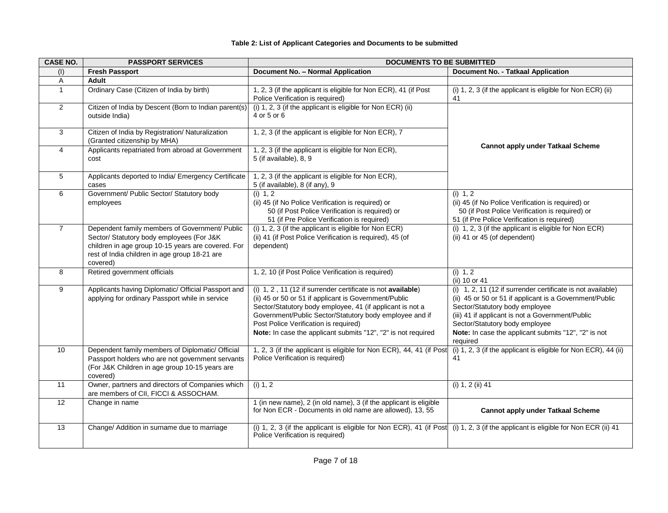| <b>CASE NO.</b> | <b>PASSPORT SERVICES</b>                                                                                                                                                                                       | <b>DOCUMENTS TO BE SUBMITTED</b>                                                                                                                                                                                                                                                                                                                       |                                                                                                                                                                                                                                                                                                                    |  |
|-----------------|----------------------------------------------------------------------------------------------------------------------------------------------------------------------------------------------------------------|--------------------------------------------------------------------------------------------------------------------------------------------------------------------------------------------------------------------------------------------------------------------------------------------------------------------------------------------------------|--------------------------------------------------------------------------------------------------------------------------------------------------------------------------------------------------------------------------------------------------------------------------------------------------------------------|--|
| (1)             | <b>Fresh Passport</b>                                                                                                                                                                                          | Document No. - Normal Application                                                                                                                                                                                                                                                                                                                      | Document No. - Tatkaal Application                                                                                                                                                                                                                                                                                 |  |
| $\overline{A}$  | <b>Adult</b>                                                                                                                                                                                                   |                                                                                                                                                                                                                                                                                                                                                        |                                                                                                                                                                                                                                                                                                                    |  |
| $\mathbf{1}$    | Ordinary Case (Citizen of India by birth)                                                                                                                                                                      | 1, 2, 3 (if the applicant is eligible for Non ECR), 41 (if Post<br>Police Verification is required)                                                                                                                                                                                                                                                    | (i) 1, 2, 3 (if the applicant is eligible for Non ECR) (ii)<br>41                                                                                                                                                                                                                                                  |  |
| $\overline{2}$  | Citizen of India by Descent (Born to Indian parent(s)<br>outside India)                                                                                                                                        | (i) 1, 2, 3 (if the applicant is eligible for Non ECR) (ii)<br>4 or 5 or 6                                                                                                                                                                                                                                                                             |                                                                                                                                                                                                                                                                                                                    |  |
| 3               | Citizen of India by Registration/ Naturalization<br>(Granted citizenship by MHA)                                                                                                                               | 1, 2, 3 (if the applicant is eligible for Non ECR), 7                                                                                                                                                                                                                                                                                                  |                                                                                                                                                                                                                                                                                                                    |  |
| $\overline{4}$  | Applicants repatriated from abroad at Government<br>cost                                                                                                                                                       | 1, 2, 3 (if the applicant is eligible for Non ECR),<br>5 (if available), 8, 9                                                                                                                                                                                                                                                                          | <b>Cannot apply under Tatkaal Scheme</b>                                                                                                                                                                                                                                                                           |  |
| 5               | Applicants deported to India/ Emergency Certificate<br>cases                                                                                                                                                   | 1, 2, 3 (if the applicant is eligible for Non ECR),<br>5 (if available), 8 (if any), 9                                                                                                                                                                                                                                                                 |                                                                                                                                                                                                                                                                                                                    |  |
| 6               | Government/ Public Sector/ Statutory body<br>employees                                                                                                                                                         | (i) 1, 2<br>(ii) 45 (if No Police Verification is required) or<br>50 (if Post Police Verification is required) or<br>51 (if Pre Police Verification is required)                                                                                                                                                                                       | (i) 1, 2<br>(ii) 45 (if No Police Verification is required) or<br>50 (if Post Police Verification is required) or<br>51 (if Pre Police Verification is required)                                                                                                                                                   |  |
| $\overline{7}$  | Dependent family members of Government/ Public<br>Sector/ Statutory body employees (For J&K<br>children in age group 10-15 years are covered. For<br>rest of India children in age group 18-21 are<br>covered) | (i) 1, 2, 3 (if the applicant is eligible for Non ECR)<br>(ii) 41 (if Post Police Verification is required), 45 (of<br>dependent)                                                                                                                                                                                                                      | (i) 1, 2, 3 (if the applicant is eligible for Non ECR)<br>(ii) 41 or 45 (of dependent)                                                                                                                                                                                                                             |  |
| 8               | Retired government officials                                                                                                                                                                                   | 1, 2, 10 (if Post Police Verification is required)                                                                                                                                                                                                                                                                                                     | (i) 1, 2<br>(ii) 10 or 41                                                                                                                                                                                                                                                                                          |  |
| 9               | Applicants having Diplomatic/ Official Passport and<br>applying for ordinary Passport while in service                                                                                                         | (i) 1, 2, 11 (12 if surrender certificate is not available)<br>(ii) 45 or 50 or 51 if applicant is Government/Public<br>Sector/Statutory body employee, 41 (if applicant is not a<br>Government/Public Sector/Statutory body employee and if<br>Post Police Verification is required)<br>Note: In case the applicant submits "12", "2" is not required | (i) 1, 2, 11 (12 if surrender certificate is not available)<br>(ii) 45 or 50 or 51 if applicant is a Government/Public<br>Sector/Statutory body employee<br>(iii) 41 if applicant is not a Government/Public<br>Sector/Statutory body employee<br>Note: In case the applicant submits "12", "2" is not<br>required |  |
| 10              | Dependent family members of Diplomatic/ Official<br>Passport holders who are not government servants<br>(For J&K Children in age group 10-15 years are<br>covered)                                             | 1, 2, 3 (if the applicant is eligible for Non ECR), 44, 41 (if Post<br>Police Verification is required)                                                                                                                                                                                                                                                | (i) 1, 2, 3 (if the applicant is eligible for Non ECR), 44 (ii)<br>41                                                                                                                                                                                                                                              |  |
| 11              | Owner, partners and directors of Companies which<br>are members of CII, FICCI & ASSOCHAM.                                                                                                                      | (i) 1, 2                                                                                                                                                                                                                                                                                                                                               | (i) 1, 2 (ii) 41                                                                                                                                                                                                                                                                                                   |  |
| 12              | Change in name                                                                                                                                                                                                 | 1 (in new name), 2 (in old name), 3 (if the applicant is eligible<br>for Non ECR - Documents in old name are allowed), 13, 55                                                                                                                                                                                                                          | <b>Cannot apply under Tatkaal Scheme</b>                                                                                                                                                                                                                                                                           |  |
| 13              | Change/ Addition in surname due to marriage                                                                                                                                                                    | (i) 1, 2, 3 (if the applicant is eligible for Non ECR), 41 (if Post (i) 1, 2, 3 (if the applicant is eligible for Non ECR (ii) 41<br>Police Verification is required)                                                                                                                                                                                  |                                                                                                                                                                                                                                                                                                                    |  |

# **Table 2: List of Applicant Categories and Documents to be submitted**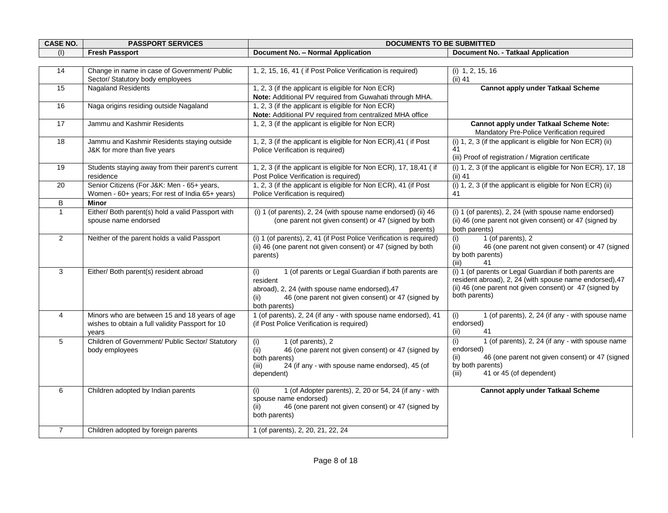| <b>CASE NO.</b> | <b>PASSPORT SERVICES</b>                                                                                   | <b>DOCUMENTS TO BE SUBMITTED</b>                                                                                                                                                                        |                                                                                                                                                                                                |  |
|-----------------|------------------------------------------------------------------------------------------------------------|---------------------------------------------------------------------------------------------------------------------------------------------------------------------------------------------------------|------------------------------------------------------------------------------------------------------------------------------------------------------------------------------------------------|--|
| (1)             | <b>Fresh Passport</b>                                                                                      | Document No. - Normal Application                                                                                                                                                                       | Document No. - Tatkaal Application                                                                                                                                                             |  |
|                 |                                                                                                            |                                                                                                                                                                                                         |                                                                                                                                                                                                |  |
| 14              | Change in name in case of Government/ Public<br>Sector/ Statutory body employees                           | 1, 2, 15, 16, 41 (if Post Police Verification is required)                                                                                                                                              | $(i)$ 1, 2, 15, 16<br>$(ii)$ 41                                                                                                                                                                |  |
| 15              | <b>Nagaland Residents</b>                                                                                  | 1, 2, 3 (if the applicant is eligible for Non ECR)<br>Note: Additional PV required from Guwahati through MHA.                                                                                           | <b>Cannot apply under Tatkaal Scheme</b>                                                                                                                                                       |  |
| 16              | Naga origins residing outside Nagaland                                                                     | 1, 2, 3 (if the applicant is eligible for Non ECR)<br>Note: Additional PV required from centralized MHA office                                                                                          |                                                                                                                                                                                                |  |
| 17              | Jammu and Kashmir Residents                                                                                | 1, 2, 3 (if the applicant is eligible for Non ECR)                                                                                                                                                      | Cannot apply under Tatkaal Scheme Note:<br>Mandatory Pre-Police Verification required                                                                                                          |  |
| 18              | Jammu and Kashmir Residents staying outside<br>J&K for more than five years                                | 1, 2, 3 (if the applicant is eligible for Non ECR), 41 ( if Post<br>Police Verification is required)                                                                                                    | (i) 1, 2, 3 (if the applicant is eligible for Non ECR) (ii)<br>41<br>(iii) Proof of registration / Migration certificate                                                                       |  |
| 19              | Students staying away from their parent's current<br>residence                                             | 1, 2, 3 (if the applicant is eligible for Non ECR), 17, 18,41 (if<br>Post Police Verification is required)                                                                                              | (i) 1, 2, 3 (if the applicant is eligible for Non ECR), 17, 18<br>$(ii)$ 41                                                                                                                    |  |
| 20              | Senior Citizens (For J&K: Men - 65+ years,<br>Women - 60+ years; For rest of India 65+ years)              | 1, 2, 3 (if the applicant is eligible for Non ECR), 41 (if Post<br>Police Verification is required)                                                                                                     | (i) 1, 2, 3 (if the applicant is eligible for Non ECR) (ii)<br>41                                                                                                                              |  |
| B               | <b>Minor</b>                                                                                               |                                                                                                                                                                                                         |                                                                                                                                                                                                |  |
| $\overline{1}$  | Either/ Both parent(s) hold a valid Passport with<br>spouse name endorsed                                  | (i) 1 (of parents), 2, 24 (with spouse name endorsed) (ii) 46<br>(one parent not given consent) or 47 (signed by both<br>parents)                                                                       | (i) 1 (of parents), 2, 24 (with spouse name endorsed)<br>(ii) 46 (one parent not given consent) or 47 (signed by<br>both parents)                                                              |  |
| $\overline{2}$  | Neither of the parent holds a valid Passport                                                               | (i) 1 (of parents), 2, 41 (if Post Police Verification is required)<br>(ii) 46 (one parent not given consent) or 47 (signed by both<br>parents)                                                         | 1 (of parents), 2<br>(i)<br>46 (one parent not given consent) or 47 (signed<br>(ii)<br>by both parents)<br>(iii)<br>41                                                                         |  |
| 3               | Either/ Both parent(s) resident abroad                                                                     | 1 (of parents or Legal Guardian if both parents are<br>(i)<br>resident<br>abroad), 2, 24 (with spouse name endorsed), 47<br>46 (one parent not given consent) or 47 (signed by<br>(ii)<br>both parents) | (i) 1 (of parents or Legal Guardian if both parents are<br>resident abroad), 2, 24 (with spouse name endorsed), 47<br>(ii) 46 (one parent not given consent) or 47 (signed by<br>both parents) |  |
| $\overline{4}$  | Minors who are between 15 and 18 years of age<br>wishes to obtain a full validity Passport for 10<br>years | 1 (of parents), 2, 24 (if any - with spouse name endorsed), 41<br>(if Post Police Verification is required)                                                                                             | 1 (of parents), 2, 24 (if any - with spouse name<br>(i)<br>endorsed)<br>(ii)<br>41                                                                                                             |  |
| 5               | Children of Government/ Public Sector/ Statutory<br>body employees                                         | 1 (of parents), 2<br>(i)<br>46 (one parent not given consent) or 47 (signed by<br>(ii)<br>both parents)<br>24 (if any - with spouse name endorsed), 45 (of<br>(iii)<br>dependent)                       | 1 (of parents), 2, 24 (if any - with spouse name<br>(i)<br>endorsed)<br>46 (one parent not given consent) or 47 (signed<br>(ii)<br>by both parents)<br>41 or 45 (of dependent)<br>(iii)        |  |
| 6               | Children adopted by Indian parents                                                                         | 1 (of Adopter parents), 2, 20 or 54, 24 (if any - with<br>(i)<br>spouse name endorsed)<br>46 (one parent not given consent) or 47 (signed by<br>(ii)<br>both parents)                                   | <b>Cannot apply under Tatkaal Scheme</b>                                                                                                                                                       |  |
| $\overline{7}$  | Children adopted by foreign parents                                                                        | 1 (of parents), 2, 20, 21, 22, 24                                                                                                                                                                       |                                                                                                                                                                                                |  |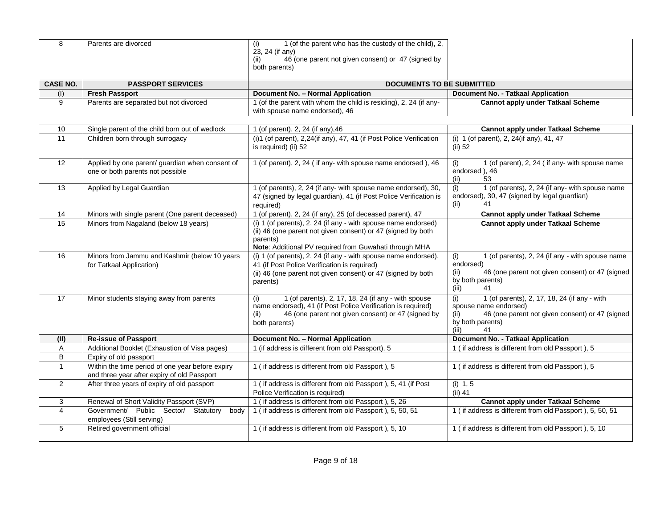| 8               | Parents are divorced                                                                | 1 (of the parent who has the custody of the child), 2,<br>(i)<br>23, 24 (if any)<br>46 (one parent not given consent) or 47 (signed by<br>(ii)<br>both parents)                                      |                                                                                                                                                                    |
|-----------------|-------------------------------------------------------------------------------------|------------------------------------------------------------------------------------------------------------------------------------------------------------------------------------------------------|--------------------------------------------------------------------------------------------------------------------------------------------------------------------|
| <b>CASE NO.</b> | <b>PASSPORT SERVICES</b>                                                            | <b>DOCUMENTS TO BE SUBMITTED</b>                                                                                                                                                                     |                                                                                                                                                                    |
| (1)             | <b>Fresh Passport</b>                                                               | Document No. - Normal Application                                                                                                                                                                    | Document No. - Tatkaal Application                                                                                                                                 |
| 9               | Parents are separated but not divorced                                              | (of the parent with whom the child is residing), 2, 24 (if any-<br>with spouse name endorsed), 46                                                                                                    | <b>Cannot apply under Tatkaal Scheme</b>                                                                                                                           |
|                 |                                                                                     |                                                                                                                                                                                                      |                                                                                                                                                                    |
| 10              | Single parent of the child born out of wedlock                                      | (of parent), 2, 24 (if any), 46                                                                                                                                                                      | <b>Cannot apply under Tatkaal Scheme</b>                                                                                                                           |
| 11              | Children born through surrogacy                                                     | (i)1 (of parent), 2,24(if any), 47, 41 (if Post Police Verification<br>is required) (ii) 52                                                                                                          | (i) 1 (of parent), 2, 24(if any), 41, 47<br>$(ii)$ 52                                                                                                              |
| 12              | Applied by one parent/ guardian when consent of<br>one or both parents not possible | (of parent), 2, 24 (if any- with spouse name endorsed), 46                                                                                                                                           | 1 (of parent), 2, 24 ( if any- with spouse name<br>(i)<br>endorsed), 46<br>(ii)<br>53                                                                              |
| 13              | Applied by Legal Guardian                                                           | (of parents), 2, 24 (if any- with spouse name endorsed), 30,<br>47 (signed by legal guardian), 41 (if Post Police Verification is<br>required)                                                       | (i)<br>1 (of parents), 2, 24 (if any- with spouse name<br>endorsed), 30, 47 (signed by legal guardian)<br>(ii)                                                     |
| 14              | Minors with single parent (One parent deceased)                                     | (of parent), 2, 24 (if any), 25 (of deceased parent), 47                                                                                                                                             | <b>Cannot apply under Tatkaal Scheme</b>                                                                                                                           |
| 15              | Minors from Nagaland (below 18 years)                                               | (i) 1 (of parents), 2, 24 (if any - with spouse name endorsed)<br>(ii) 46 (one parent not given consent) or 47 (signed by both<br>parents)<br>Note: Additional PV required from Guwahati through MHA | <b>Cannot apply under Tatkaal Scheme</b>                                                                                                                           |
| 16              | Minors from Jammu and Kashmir (below 10 years<br>for Tatkaal Application)           | $(i)$ 1 (of parents), 2, 24 (if any - with spouse name endorsed),<br>41 (if Post Police Verification is required)<br>(ii) 46 (one parent not given consent) or 47 (signed by both<br>parents)        | (i)<br>1 (of parents), 2, 24 (if any - with spouse name<br>endorsed)<br>46 (one parent not given consent) or 47 (signed<br>(ii)<br>by both parents)<br>(iii)<br>41 |
| 17              | Minor students staying away from parents                                            | 1 (of parents), 2, 17, 18, 24 (if any - with spouse<br>(i)                                                                                                                                           | 1 (of parents), 2, 17, 18, 24 (if any - with<br>(i)                                                                                                                |

| 3 | Renewal of Short Validity Passport (SVP)        | (if address is different from old Passport), 5, 26     | Cannot apply under Tatkaal Scheme                        |
|---|-------------------------------------------------|--------------------------------------------------------|----------------------------------------------------------|
| 4 | body<br>Government/ Public Sector/<br>Statutory | (if address is different from old Passport), 5, 50, 51 | I (if address is different from old Passport), 5, 50, 51 |
|   | employees (Still serving)                       |                                                        |                                                          |
| 5 | Retired government official                     | (if address is different from old Passport), 5, 10     | 1 (if address is different from old Passport), 5, 10     |
|   |                                                 |                                                        |                                                          |
|   |                                                 |                                                        |                                                          |
|   |                                                 |                                                        |                                                          |

name endorsed), 41 (if Post Police Verification is required) (ii) 46 (one parent not given consent) or 47 (signed by

**(II) Re-issue of Passport Document No. – Normal Application Document No. - Tatkaal Application**  A Additional Booklet (Exhaustion of Visa pages) 1 (if address is different from old Passport), 5 1 (if address is different from old Passport), 5

Police Verification is required)

spouse name endorsed)

by both parents) (iii) 41

 $(i)$  1, 5 (ii) 41

1 ( if address is different from old Passport ), 5 1 ( if address is different from old Passport ), 5

(ii) 46 (one parent not given consent) or 47 (signed

both parents)

2 After three years of expiry of old passport 1 ( if address is different from old Passport ), 5, 41 (if Post

B Expiry of old passport

1 Within the time period of one year before expiry and three year after expiry of old Passport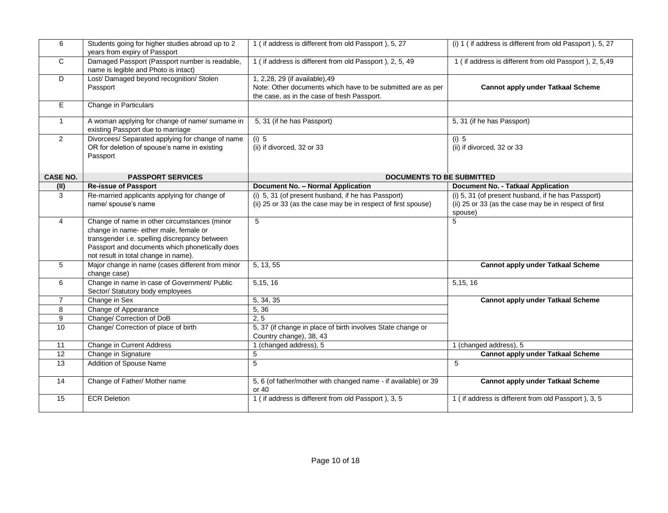| 6               | Students going for higher studies abroad up to 2<br>years from expiry of Passport                                                                                                                                                 | 1 (if address is different from old Passport), 5, 27                                                                                         | (i) 1 (if address is different from old Passport), 5, 27                                                               |
|-----------------|-----------------------------------------------------------------------------------------------------------------------------------------------------------------------------------------------------------------------------------|----------------------------------------------------------------------------------------------------------------------------------------------|------------------------------------------------------------------------------------------------------------------------|
| $\mathbf{C}$    | Damaged Passport (Passport number is readable,<br>name is legible and Photo is intact)                                                                                                                                            | 1 (if address is different from old Passport), 2, 5, 49                                                                                      | 1 (if address is different from old Passport), 2, 5,49                                                                 |
| D               | Lost/Damaged beyond recognition/Stolen<br>Passport                                                                                                                                                                                | 1, 2,28, 29 (if available), 49<br>Note: Other documents which have to be submitted are as per<br>the case, as in the case of fresh Passport. | <b>Cannot apply under Tatkaal Scheme</b>                                                                               |
| E.              | Change in Particulars                                                                                                                                                                                                             |                                                                                                                                              |                                                                                                                        |
| $\mathbf{1}$    | A woman applying for change of name/ surname in<br>existing Passport due to marriage                                                                                                                                              | 5, 31 (if he has Passport)                                                                                                                   | 5, 31 (if he has Passport)                                                                                             |
| 2               | Divorcees/ Separated applying for change of name<br>OR for deletion of spouse's name in existing<br>Passport                                                                                                                      | $(i)$ 5<br>(ii) if divorced, 32 or 33                                                                                                        | $(i)$ 5<br>(ii) if divorced, 32 or 33                                                                                  |
| <b>CASE NO.</b> | <b>PASSPORT SERVICES</b>                                                                                                                                                                                                          | <b>DOCUMENTS TO BE SUBMITTED</b>                                                                                                             |                                                                                                                        |
| (II)            | <b>Re-issue of Passport</b>                                                                                                                                                                                                       | <b>Document No. - Normal Application</b>                                                                                                     | <b>Document No. - Tatkaal Application</b>                                                                              |
| 3               | Re-married applicants applying for change of<br>name/ spouse's name                                                                                                                                                               | (i) 5, 31 (of present husband, if he has Passport)<br>(ii) 25 or 33 (as the case may be in respect of first spouse)                          | (i) 5, 31 (of present husband, if he has Passport)<br>(ii) 25 or 33 (as the case may be in respect of first<br>spouse) |
| 4               | Change of name in other circumstances (minor<br>change in name- either male, female or<br>transgender i.e. spelling discrepancy between<br>Passport and documents which phonetically does<br>not result in total change in name). | 5                                                                                                                                            | 5                                                                                                                      |
| 5               | Major change in name (cases different from minor<br>change case)                                                                                                                                                                  | 5, 13, 55                                                                                                                                    | <b>Cannot apply under Tatkaal Scheme</b>                                                                               |
| 6               | Change in name in case of Government/ Public<br>Sector/ Statutory body employees                                                                                                                                                  | 5, 15, 16                                                                                                                                    | 5, 15, 16                                                                                                              |
| $\overline{7}$  | Change in Sex                                                                                                                                                                                                                     | 5, 34, 35                                                                                                                                    | <b>Cannot apply under Tatkaal Scheme</b>                                                                               |
| 8               | Change of Appearance                                                                                                                                                                                                              | 5, 36                                                                                                                                        |                                                                                                                        |
| 9               | Change/ Correction of DoB                                                                                                                                                                                                         | 2, 5                                                                                                                                         |                                                                                                                        |
| 10              | Change/ Correction of place of birth                                                                                                                                                                                              | 5, 37 (if change in place of birth involves State change or<br>Country change), 38, 43                                                       |                                                                                                                        |
| 11              | Change in Current Address                                                                                                                                                                                                         | 1 (changed address), 5                                                                                                                       | 1 (changed address), 5                                                                                                 |
| 12              | Change in Signature                                                                                                                                                                                                               | 5                                                                                                                                            | <b>Cannot apply under Tatkaal Scheme</b>                                                                               |
| 13              | Addition of Spouse Name                                                                                                                                                                                                           | 5                                                                                                                                            | 5                                                                                                                      |
| 14              | Change of Father/ Mother name                                                                                                                                                                                                     | 5, 6 (of father/mother with changed name - if available) or 39<br>or 40                                                                      | <b>Cannot apply under Tatkaal Scheme</b>                                                                               |
| 15              | <b>ECR Deletion</b>                                                                                                                                                                                                               | 1 (if address is different from old Passport), 3, 5                                                                                          | 1 (if address is different from old Passport), 3, 5                                                                    |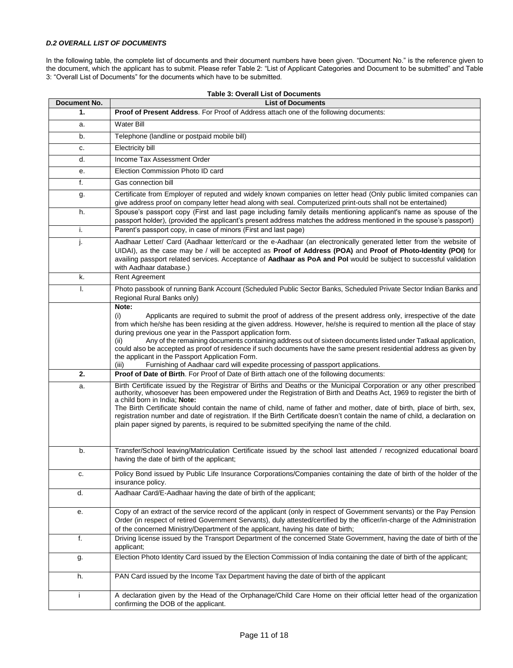## *D.2 OVERALL LIST OF DOCUMENTS*

In the following table, the complete list of documents and their document numbers have been given. "Document No." is the reference given to the document, which the applicant has to submit. Please refer Table 2: "List of Applicant Categories and Document to be submitted" and Table 3: "Overall List of Documents" for the documents which have to be submitted.

| Document No. | <b>Table 3: Overall List of Documents</b><br><b>List of Documents</b>                                                                                                                                                                                                                                                                                                                                                                                                                                                                                                                                                                                                                                             |
|--------------|-------------------------------------------------------------------------------------------------------------------------------------------------------------------------------------------------------------------------------------------------------------------------------------------------------------------------------------------------------------------------------------------------------------------------------------------------------------------------------------------------------------------------------------------------------------------------------------------------------------------------------------------------------------------------------------------------------------------|
| 1.           | Proof of Present Address. For Proof of Address attach one of the following documents:                                                                                                                                                                                                                                                                                                                                                                                                                                                                                                                                                                                                                             |
| a.           | Water Bill                                                                                                                                                                                                                                                                                                                                                                                                                                                                                                                                                                                                                                                                                                        |
| b.           | Telephone (landline or postpaid mobile bill)                                                                                                                                                                                                                                                                                                                                                                                                                                                                                                                                                                                                                                                                      |
| c.           | Electricity bill                                                                                                                                                                                                                                                                                                                                                                                                                                                                                                                                                                                                                                                                                                  |
| d.           | Income Tax Assessment Order                                                                                                                                                                                                                                                                                                                                                                                                                                                                                                                                                                                                                                                                                       |
| е.           | Election Commission Photo ID card                                                                                                                                                                                                                                                                                                                                                                                                                                                                                                                                                                                                                                                                                 |
| f.           | Gas connection bill                                                                                                                                                                                                                                                                                                                                                                                                                                                                                                                                                                                                                                                                                               |
| g.           | Certificate from Employer of reputed and widely known companies on letter head (Only public limited companies can<br>give address proof on company letter head along with seal. Computerized print-outs shall not be entertained)                                                                                                                                                                                                                                                                                                                                                                                                                                                                                 |
| h.           | Spouse's passport copy (First and last page including family details mentioning applicant's name as spouse of the<br>passport holder), (provided the applicant's present address matches the address mentioned in the spouse's passport)                                                                                                                                                                                                                                                                                                                                                                                                                                                                          |
| i.           | Parent's passport copy, in case of minors (First and last page)                                                                                                                                                                                                                                                                                                                                                                                                                                                                                                                                                                                                                                                   |
| J.           | Aadhaar Letter/ Card (Aadhaar letter/card or the e-Aadhaar (an electronically generated letter from the website of<br>UIDAI), as the case may be / will be accepted as Proof of Address (POA) and Proof of Photo-Identity (POI) for<br>availing passport related services. Acceptance of Aadhaar as PoA and PoI would be subject to successful validation<br>with Aadhaar database.)                                                                                                                                                                                                                                                                                                                              |
| k.           | Rent Agreement                                                                                                                                                                                                                                                                                                                                                                                                                                                                                                                                                                                                                                                                                                    |
| Ι.           | Photo passbook of running Bank Account (Scheduled Public Sector Banks, Scheduled Private Sector Indian Banks and<br>Regional Rural Banks only)                                                                                                                                                                                                                                                                                                                                                                                                                                                                                                                                                                    |
|              | Note:<br>Applicants are required to submit the proof of address of the present address only, irrespective of the date<br>(i)<br>from which he/she has been residing at the given address. However, he/she is required to mention all the place of stay<br>during previous one year in the Passport application form.<br>Any of the remaining documents containing address out of sixteen documents listed under Tatkaal application,<br>(ii)<br>could also be accepted as proof of residence if such documents have the same present residential address as given by<br>the applicant in the Passport Application Form.<br>Furnishing of Aadhaar card will expedite processing of passport applications.<br>(iii) |
| 2.           | Proof of Date of Birth. For Proof of Date of Birth attach one of the following documents:                                                                                                                                                                                                                                                                                                                                                                                                                                                                                                                                                                                                                         |
| a.           | Birth Certificate issued by the Registrar of Births and Deaths or the Municipal Corporation or any other prescribed<br>authority, whosoever has been empowered under the Registration of Birth and Deaths Act, 1969 to register the birth of<br>a child born in India; Note:<br>The Birth Certificate should contain the name of child, name of father and mother, date of birth, place of birth, sex,<br>registration number and date of registration. If the Birth Certificate doesn't contain the name of child, a declaration on<br>plain paper signed by parents, is required to be submitted specifying the name of the child.                                                                              |
| b.           | Transfer/School leaving/Matriculation Certificate issued by the school last attended / recognized educational board<br>having the date of birth of the applicant;                                                                                                                                                                                                                                                                                                                                                                                                                                                                                                                                                 |
| c.           | Policy Bond issued by Public Life Insurance Corporations/Companies containing the date of birth of the holder of the<br>insurance policy.                                                                                                                                                                                                                                                                                                                                                                                                                                                                                                                                                                         |
| d.           | Aadhaar Card/E-Aadhaar having the date of birth of the applicant;                                                                                                                                                                                                                                                                                                                                                                                                                                                                                                                                                                                                                                                 |
| е.           | Copy of an extract of the service record of the applicant (only in respect of Government servants) or the Pay Pension<br>Order (in respect of retired Government Servants), duly attested/certified by the officer/in-charge of the Administration<br>of the concerned Ministry/Department of the applicant, having his date of birth;                                                                                                                                                                                                                                                                                                                                                                            |
| f.           | Driving license issued by the Transport Department of the concerned State Government, having the date of birth of the<br>applicant;                                                                                                                                                                                                                                                                                                                                                                                                                                                                                                                                                                               |
| g.           | Election Photo Identity Card issued by the Election Commission of India containing the date of birth of the applicant;                                                                                                                                                                                                                                                                                                                                                                                                                                                                                                                                                                                            |
| h.           | PAN Card issued by the Income Tax Department having the date of birth of the applicant                                                                                                                                                                                                                                                                                                                                                                                                                                                                                                                                                                                                                            |
| Ť            | A declaration given by the Head of the Orphanage/Child Care Home on their official letter head of the organization<br>confirming the DOB of the applicant.                                                                                                                                                                                                                                                                                                                                                                                                                                                                                                                                                        |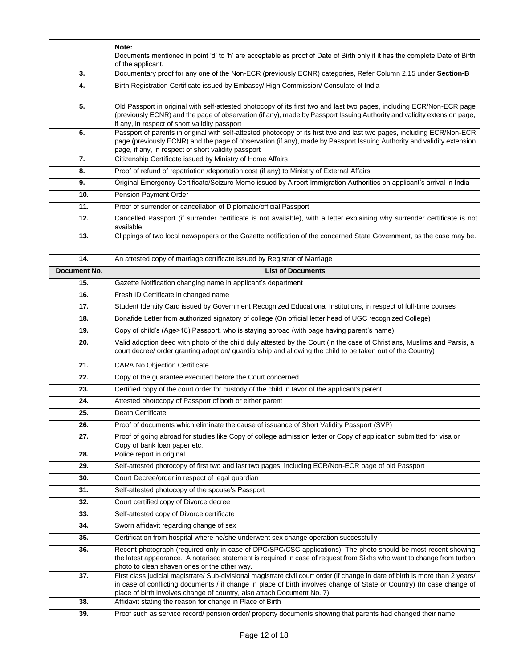|                     | Note:<br>Documents mentioned in point 'd' to 'h' are acceptable as proof of Date of Birth only if it has the complete Date of Birth<br>of the applicant.                                                                                                                                                                           |
|---------------------|------------------------------------------------------------------------------------------------------------------------------------------------------------------------------------------------------------------------------------------------------------------------------------------------------------------------------------|
| 3.                  | Documentary proof for any one of the Non-ECR (previously ECNR) categories, Refer Column 2.15 under Section-B                                                                                                                                                                                                                       |
| 4.                  | Birth Registration Certificate issued by Embassy/ High Commission/ Consulate of India                                                                                                                                                                                                                                              |
| 5.                  | Old Passport in original with self-attested photocopy of its first two and last two pages, including ECR/Non-ECR page<br>(previously ECNR) and the page of observation (if any), made by Passport Issuing Authority and validity extension page,<br>if any, in respect of short validity passport                                  |
| 6.                  | Passport of parents in original with self-attested photocopy of its first two and last two pages, including ECR/Non-ECR<br>page (previously ECNR) and the page of observation (if any), made by Passport Issuing Authority and validity extension<br>page, if any, in respect of short validity passport                           |
| 7.                  | Citizenship Certificate issued by Ministry of Home Affairs                                                                                                                                                                                                                                                                         |
| 8.                  | Proof of refund of repatriation /deportation cost (if any) to Ministry of External Affairs                                                                                                                                                                                                                                         |
| 9.                  | Original Emergency Certificate/Seizure Memo issued by Airport Immigration Authorities on applicant's arrival in India                                                                                                                                                                                                              |
| 10.                 | Pension Payment Order                                                                                                                                                                                                                                                                                                              |
| 11.                 | Proof of surrender or cancellation of Diplomatic/official Passport                                                                                                                                                                                                                                                                 |
| 12.                 | Cancelled Passport (if surrender certificate is not available), with a letter explaining why surrender certificate is not<br>available                                                                                                                                                                                             |
| 13.                 | Clippings of two local newspapers or the Gazette notification of the concerned State Government, as the case may be.                                                                                                                                                                                                               |
| 14.                 | An attested copy of marriage certificate issued by Registrar of Marriage                                                                                                                                                                                                                                                           |
| <b>Document No.</b> | <b>List of Documents</b>                                                                                                                                                                                                                                                                                                           |
| 15.                 | Gazette Notification changing name in applicant's department                                                                                                                                                                                                                                                                       |
| 16.                 | Fresh ID Certificate in changed name                                                                                                                                                                                                                                                                                               |
| 17.                 | Student Identity Card issued by Government Recognized Educational Institutions, in respect of full-time courses                                                                                                                                                                                                                    |
| 18.                 | Bonafide Letter from authorized signatory of college (On official letter head of UGC recognized College)                                                                                                                                                                                                                           |
| 19.                 | Copy of child's (Age>18) Passport, who is staying abroad (with page having parent's name)                                                                                                                                                                                                                                          |
| 20.                 | Valid adoption deed with photo of the child duly attested by the Court (in the case of Christians, Muslims and Parsis, a<br>court decree/ order granting adoption/ guardianship and allowing the child to be taken out of the Country)                                                                                             |
| 21.                 | <b>CARA No Objection Certificate</b>                                                                                                                                                                                                                                                                                               |
| 22.                 | Copy of the guarantee executed before the Court concerned                                                                                                                                                                                                                                                                          |
| 23.                 | Certified copy of the court order for custody of the child in favor of the applicant's parent                                                                                                                                                                                                                                      |
| 24.                 | Attested photocopy of Passport of both or either parent                                                                                                                                                                                                                                                                            |
| 25.                 | Death Certificate                                                                                                                                                                                                                                                                                                                  |
| 26.                 | Proof of documents which eliminate the cause of issuance of Short Validity Passport (SVP)                                                                                                                                                                                                                                          |
| 27.                 | Proof of going abroad for studies like Copy of college admission letter or Copy of application submitted for visa or<br>Copy of bank loan paper etc.                                                                                                                                                                               |
| 28.                 | Police report in original                                                                                                                                                                                                                                                                                                          |
| 29.                 | Self-attested photocopy of first two and last two pages, including ECR/Non-ECR page of old Passport                                                                                                                                                                                                                                |
| 30.                 | Court Decree/order in respect of legal guardian                                                                                                                                                                                                                                                                                    |
| 31.                 | Self-attested photocopy of the spouse's Passport                                                                                                                                                                                                                                                                                   |
| 32.                 | Court certified copy of Divorce decree                                                                                                                                                                                                                                                                                             |
| 33.                 | Self-attested copy of Divorce certificate                                                                                                                                                                                                                                                                                          |
| 34.                 | Sworn affidavit regarding change of sex                                                                                                                                                                                                                                                                                            |
| 35.                 | Certification from hospital where he/she underwent sex change operation successfully                                                                                                                                                                                                                                               |
| 36.                 | Recent photograph (required only in case of DPC/SPC/CSC applications). The photo should be most recent showing<br>the latest appearance. A notarised statement is required in case of request from Sikhs who want to change from turban<br>photo to clean shaven ones or the other way.                                            |
| 37.                 | First class judicial magistrate/ Sub-divisional magistrate civil court order (if change in date of birth is more than 2 years/<br>in case of conflicting documents / if change in place of birth involves change of State or Country) (In case change of<br>place of birth involves change of country, also attach Document No. 7) |
| 38.                 | Affidavit stating the reason for change in Place of Birth                                                                                                                                                                                                                                                                          |
| 39.                 | Proof such as service record/ pension order/ property documents showing that parents had changed their name                                                                                                                                                                                                                        |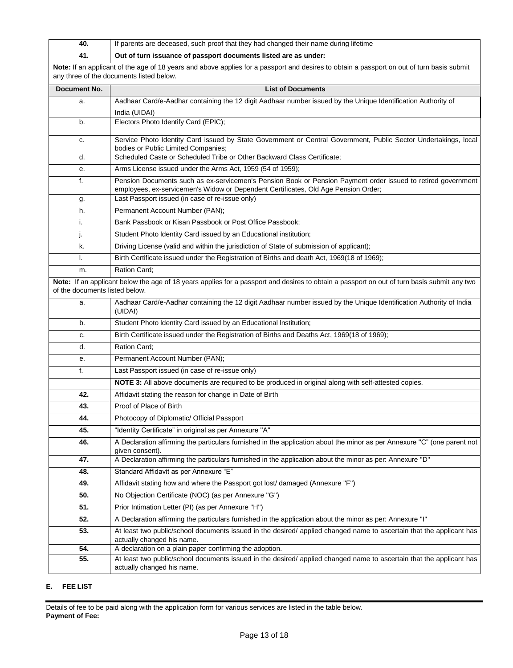| 40.                            | If parents are deceased, such proof that they had changed their name during lifetime                                                                                                               |
|--------------------------------|----------------------------------------------------------------------------------------------------------------------------------------------------------------------------------------------------|
| 41.                            | Out of turn issuance of passport documents listed are as under:                                                                                                                                    |
|                                | Note: If an applicant of the age of 18 years and above applies for a passport and desires to obtain a passport on out of turn basis submit<br>any three of the documents listed below.             |
| Document No.                   | <b>List of Documents</b>                                                                                                                                                                           |
| a.                             | Aadhaar Card/e-Aadhar containing the 12 digit Aadhaar number issued by the Unique Identification Authority of                                                                                      |
|                                | India (UIDAI)                                                                                                                                                                                      |
| b.                             | Electors Photo Identify Card (EPIC);                                                                                                                                                               |
| c.                             | Service Photo Identity Card issued by State Government or Central Government, Public Sector Undertakings, local<br>bodies or Public Limited Companies;                                             |
| d.                             | Scheduled Caste or Scheduled Tribe or Other Backward Class Certificate;                                                                                                                            |
| е.                             | Arms License issued under the Arms Act, 1959 (54 of 1959);                                                                                                                                         |
| f.                             | Pension Documents such as ex-servicemen's Pension Book or Pension Payment order issued to retired government<br>employees, ex-servicemen's Widow or Dependent Certificates, Old Age Pension Order; |
| g.                             | Last Passport issued (in case of re-issue only)                                                                                                                                                    |
| h.                             | Permanent Account Number (PAN);                                                                                                                                                                    |
| i.                             | Bank Passbook or Kisan Passbook or Post Office Passbook;                                                                                                                                           |
| J.                             | Student Photo Identity Card issued by an Educational institution;                                                                                                                                  |
| k.                             | Driving License (valid and within the jurisdiction of State of submission of applicant);                                                                                                           |
| I.                             | Birth Certificate issued under the Registration of Births and death Act, 1969(18 of 1969);                                                                                                         |
| m.                             | Ration Card;                                                                                                                                                                                       |
| of the documents listed below. | Note: If an applicant below the age of 18 years applies for a passport and desires to obtain a passport on out of turn basis submit any two                                                        |
| a.                             | Aadhaar Card/e-Aadhar containing the 12 digit Aadhaar number issued by the Unique Identification Authority of India<br>(UIDAI)                                                                     |
| b.                             | Student Photo Identity Card issued by an Educational Institution;                                                                                                                                  |
| c.                             | Birth Certificate issued under the Registration of Births and Deaths Act, 1969(18 of 1969);                                                                                                        |
| d.                             | Ration Card:                                                                                                                                                                                       |
| е.                             | Permanent Account Number (PAN);                                                                                                                                                                    |
| f.                             | Last Passport issued (in case of re-issue only)                                                                                                                                                    |
|                                | NOTE 3: All above documents are required to be produced in original along with self-attested copies.                                                                                               |
| 42.                            | Affidavit stating the reason for change in Date of Birth                                                                                                                                           |
| 43.                            | Proof of Place of Birth                                                                                                                                                                            |
| 44.                            | Photocopy of Diplomatic/ Official Passport                                                                                                                                                         |
| 45.                            | "Identity Certificate" in original as per Annexure "A"                                                                                                                                             |
| 46.                            | A Declaration affirming the particulars furnished in the application about the minor as per Annexure "C" (one parent not<br>given consent).                                                        |
| 47.                            | A Declaration affirming the particulars furnished in the application about the minor as per: Annexure "D"                                                                                          |
| 48.                            | Standard Affidavit as per Annexure "E"                                                                                                                                                             |
| 49.                            | Affidavit stating how and where the Passport got lost/ damaged (Annexure "F")                                                                                                                      |
| 50.                            | No Objection Certificate (NOC) (as per Annexure "G")                                                                                                                                               |
| 51.                            | Prior Intimation Letter (PI) (as per Annexure "H")                                                                                                                                                 |
| 52.                            | A Declaration affirming the particulars furnished in the application about the minor as per: Annexure "I"                                                                                          |
| 53.                            | At least two public/school documents issued in the desired/ applied changed name to ascertain that the applicant has<br>actually changed his name.                                                 |
| 54.                            | A declaration on a plain paper confirming the adoption.                                                                                                                                            |
| 55.                            | At least two public/school documents issued in the desired/ applied changed name to ascertain that the applicant has<br>actually changed his name.                                                 |

# **E. FEE LIST**

Details of fee to be paid along with the application form for various services are listed in the table below. **Payment of Fee:**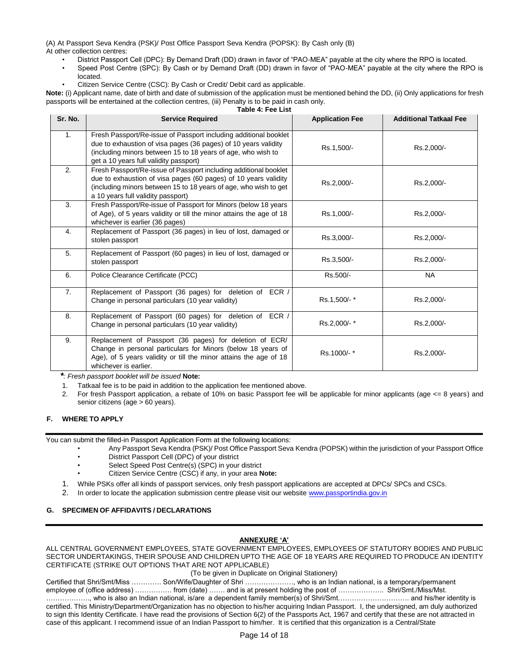(A) At Passport Seva Kendra (PSK)/ Post Office Passport Seva Kendra (POPSK): By Cash only (B) At other collection centres:

- District Passport Cell (DPC): By Demand Draft (DD) drawn in favor of "PAO-MEA" payable at the city where the RPO is located.
- Speed Post Centre (SPC): By Cash or by Demand Draft (DD) drawn in favor of "PAO-MEA" payable at the city where the RPO is located.
- Citizen Service Centre (CSC): By Cash or Credit/ Debit card as applicable.

**Note:** (i) Applicant name, date of birth and date of submission of the application must be mentioned behind the DD, (ii) Only applications for fresh passports will be entertained at the collection centres, (iii) Penalty is to be paid in cash only. **Table 4: Fee List**

| Sr. No. | <b>Service Required</b>                                                                                                                                                                                                                       | <b>Application Fee</b> | <b>Additional Tatkaal Fee</b> |
|---------|-----------------------------------------------------------------------------------------------------------------------------------------------------------------------------------------------------------------------------------------------|------------------------|-------------------------------|
| 1.      | Fresh Passport/Re-issue of Passport including additional booklet<br>due to exhaustion of visa pages (36 pages) of 10 years validity<br>(including minors between 15 to 18 years of age, who wish to<br>get a 10 years full validity passport) | Rs.1,500/-             | Rs.2,000/-                    |
| 2.      | Fresh Passport/Re-issue of Passport including additional booklet<br>due to exhaustion of visa pages (60 pages) of 10 years validity<br>(including minors between 15 to 18 years of age, who wish to get<br>a 10 years full validity passport) | Rs.2,000/-             | Rs.2,000/-                    |
| 3.      | Fresh Passport/Re-issue of Passport for Minors (below 18 years<br>of Age), of 5 years validity or till the minor attains the age of 18<br>whichever is earlier (36 pages)                                                                     | Rs.1,000/-             | Rs.2,000/-                    |
| 4.      | Replacement of Passport (36 pages) in lieu of lost, damaged or<br>stolen passport                                                                                                                                                             | Rs.3,000/-             | Rs.2,000/-                    |
| 5.      | Replacement of Passport (60 pages) in lieu of lost, damaged or<br>stolen passport                                                                                                                                                             | Rs.3,500/-             | Rs.2,000/-                    |
| 6.      | Police Clearance Certificate (PCC)                                                                                                                                                                                                            | Rs.500/-               | <b>NA</b>                     |
| 7.      | Replacement of Passport (36 pages) for deletion of ECR /<br>Change in personal particulars (10 year validity)                                                                                                                                 | Rs.1,500/-*            | Rs.2,000/-                    |
| 8.      | Replacement of Passport (60 pages) for deletion of ECR /<br>Change in personal particulars (10 year validity)                                                                                                                                 | Rs.2,000/-*            | Rs.2,000/-                    |
| 9.      | Replacement of Passport (36 pages) for deletion of ECR/<br>Change in personal particulars for Minors (below 18 years of<br>Age), of 5 years validity or till the minor attains the age of 18<br>whichever is earlier.                         | Rs.1000/-*             | Rs.2,000/-                    |

*\*: Fresh passport booklet will be issued* **Note:** 

1. Tatkaal fee is to be paid in addition to the application fee mentioned above.

2. For fresh Passport application, a rebate of 10% on basic Passport fee will be applicable for minor applicants (age  $\leq$ = 8 years) and senior citizens (age > 60 years).

# **F. WHERE TO APPLY**

You can submit the filled-in Passport Application Form at the following locations:

- Any Passport Seva Kendra (PSK)/ Post Office Passport Seva Kendra (POPSK) within the jurisdiction of your Passport Office • District Passport Cell (DPC) of your district
- Select Speed Post Centre(s) (SPC) in your district
- Citizen Service Centre (CSC) if any, in your area **Note:**
- 1. While PSKs offer all kinds of passport services, only fresh passport applications are accepted at DPCs/ SPCs and CSCs.
- 2. In order to locate the application submission centre please visit our websit[e www.passportindia.gov.in](http://www.passportindia.gov.in/)

# **G. SPECIMEN OF AFFIDAVITS / DECLARATIONS**

# **ANNEXURE 'A'**

ALL CENTRAL GOVERNMENT EMPLOYEES, STATE GOVERNMENT EMPLOYEES, EMPLOYEES OF STATUTORY BODIES AND PUBLIC SECTOR UNDERTAKINGS, THEIR SPOUSE AND CHILDREN UPTO THE AGE OF 18 YEARS ARE REQUIRED TO PRODUCE AN IDENTITY CERTIFICATE (STRIKE OUT OPTIONS THAT ARE NOT APPLICABLE)

# (To be given in Duplicate on Original Stationery)

Certified that Shri/Smt/Miss …………. Son/Wife/Daughter of Shri …………………, who is an Indian national, is a temporary/permanent employee of (office address) ……………. from (date) ……. and is at present holding the post of …………………… Shri/Smt./Miss/Mst. ………………., who is also an Indian national, is/are a dependent family member(s) of Shri/Smt…………………………. and his/her identity is certified. This Ministry/Department/Organization has no objection to his/her acquiring Indian Passport. I, the undersigned, am duly authorized to sign this Identity Certificate. I have read the provisions of Section 6(2) of the Passports Act, 1967 and certify that these are not attracted in case of this applicant. I recommend issue of an Indian Passport to him/her. It is certified that this organization is a Central/State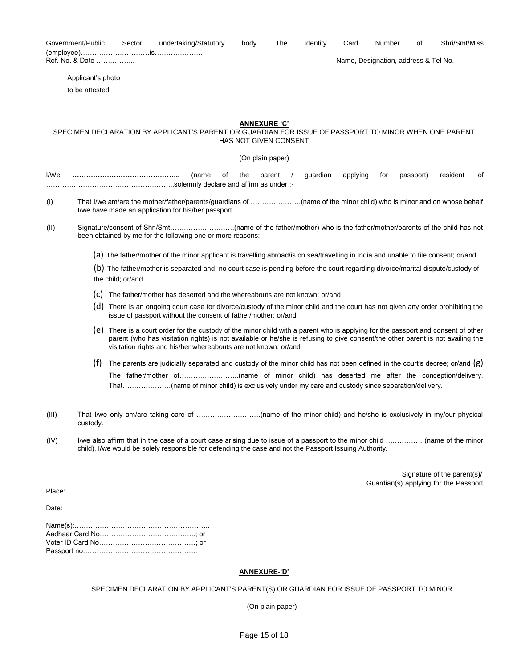|        | Government/Public | Sector            | undertaking/Statutory                                                                                                                                                                                                                                                                                                                  | body.                        | The    | <b>Identity</b> | Card     | Number | οf                                   | Shri/Smt/Miss                                                        |
|--------|-------------------|-------------------|----------------------------------------------------------------------------------------------------------------------------------------------------------------------------------------------------------------------------------------------------------------------------------------------------------------------------------------|------------------------------|--------|-----------------|----------|--------|--------------------------------------|----------------------------------------------------------------------|
|        | Ref. No. & Date   |                   |                                                                                                                                                                                                                                                                                                                                        |                              |        |                 |          |        | Name, Designation, address & Tel No. |                                                                      |
|        | Applicant's photo |                   |                                                                                                                                                                                                                                                                                                                                        |                              |        |                 |          |        |                                      |                                                                      |
|        | to be attested    |                   |                                                                                                                                                                                                                                                                                                                                        |                              |        |                 |          |        |                                      |                                                                      |
|        |                   |                   |                                                                                                                                                                                                                                                                                                                                        |                              |        |                 |          |        |                                      |                                                                      |
|        |                   |                   |                                                                                                                                                                                                                                                                                                                                        | <b>ANNEXURE 'C'</b>          |        |                 |          |        |                                      |                                                                      |
|        |                   |                   | SPECIMEN DECLARATION BY APPLICANT'S PARENT OR GUARDIAN FOR ISSUE OF PASSPORT TO MINOR WHEN ONE PARENT                                                                                                                                                                                                                                  | <b>HAS NOT GIVEN CONSENT</b> |        |                 |          |        |                                      |                                                                      |
|        |                   |                   |                                                                                                                                                                                                                                                                                                                                        | (On plain paper)             |        |                 |          |        |                                      |                                                                      |
| I/We   |                   |                   | (name<br>οf                                                                                                                                                                                                                                                                                                                            | the                          | parent | guardian        | applying | for    | passport)                            | resident<br>οf                                                       |
| (1)    |                   |                   | I/we have made an application for his/her passport.                                                                                                                                                                                                                                                                                    |                              |        |                 |          |        |                                      |                                                                      |
| (II)   |                   |                   | been obtained by me for the following one or more reasons:                                                                                                                                                                                                                                                                             |                              |        |                 |          |        |                                      |                                                                      |
|        |                   |                   | (a) The father/mother of the minor applicant is travelling abroad/is on sea/travelling in India and unable to file consent; or/and                                                                                                                                                                                                     |                              |        |                 |          |        |                                      |                                                                      |
|        |                   | the child; or/and | (b) The father/mother is separated and no court case is pending before the court regarding divorce/marital dispute/custody of                                                                                                                                                                                                          |                              |        |                 |          |        |                                      |                                                                      |
|        | (C)               |                   | The father/mother has deserted and the whereabouts are not known; or/and                                                                                                                                                                                                                                                               |                              |        |                 |          |        |                                      |                                                                      |
|        |                   |                   | (d) There is an ongoing court case for divorce/custody of the minor child and the court has not given any order prohibiting the<br>issue of passport without the consent of father/mother; or/and                                                                                                                                      |                              |        |                 |          |        |                                      |                                                                      |
|        |                   |                   | (e) There is a court order for the custody of the minor child with a parent who is applying for the passport and consent of other<br>parent (who has visitation rights) is not available or he/she is refusing to give consent/the other parent is not availing the<br>visitation rights and his/her whereabouts are not known; or/and |                              |        |                 |          |        |                                      |                                                                      |
|        | (f)               |                   | The parents are judicially separated and custody of the minor child has not been defined in the court's decree; or/and $(g)$                                                                                                                                                                                                           |                              |        |                 |          |        |                                      |                                                                      |
|        |                   |                   |                                                                                                                                                                                                                                                                                                                                        |                              |        |                 |          |        |                                      |                                                                      |
| (III)  | custody.          |                   |                                                                                                                                                                                                                                                                                                                                        |                              |        |                 |          |        |                                      |                                                                      |
| (IV)   |                   |                   | child), I/we would be solely responsible for defending the case and not the Passport Issuing Authority.                                                                                                                                                                                                                                |                              |        |                 |          |        |                                      |                                                                      |
|        |                   |                   |                                                                                                                                                                                                                                                                                                                                        |                              |        |                 |          |        |                                      | Signature of the parent(s)/<br>Guardian(s) applying for the Passport |
| Place: |                   |                   |                                                                                                                                                                                                                                                                                                                                        |                              |        |                 |          |        |                                      |                                                                      |
| Date:  |                   |                   |                                                                                                                                                                                                                                                                                                                                        |                              |        |                 |          |        |                                      |                                                                      |
|        |                   |                   |                                                                                                                                                                                                                                                                                                                                        |                              |        |                 |          |        |                                      |                                                                      |
|        |                   |                   |                                                                                                                                                                                                                                                                                                                                        |                              |        |                 |          |        |                                      |                                                                      |

(On plain paper)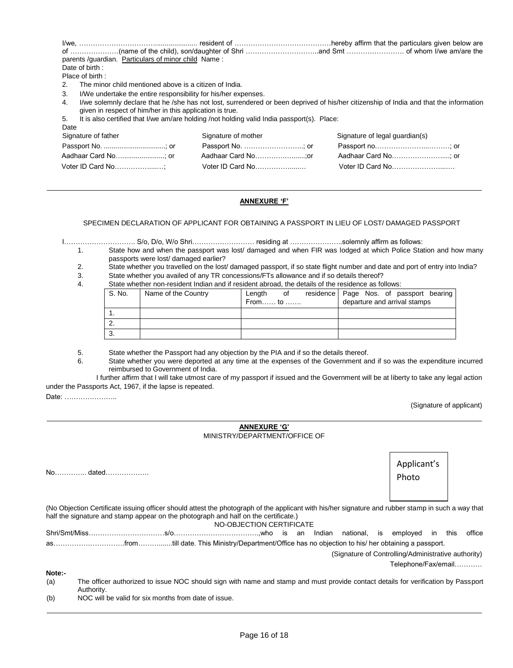| parents /guardian. Particulars of minor child Name:                                                                                                  |                                                                                            |                                                                                                                                        |
|------------------------------------------------------------------------------------------------------------------------------------------------------|--------------------------------------------------------------------------------------------|----------------------------------------------------------------------------------------------------------------------------------------|
| Date of birth:                                                                                                                                       |                                                                                            |                                                                                                                                        |
| Place of birth:                                                                                                                                      |                                                                                            |                                                                                                                                        |
| The minor child mentioned above is a citizen of India.                                                                                               |                                                                                            |                                                                                                                                        |
| 3.<br>I/We undertake the entire responsibility for his/her expenses.<br>4.<br>given in respect of him/her in this application is true.<br>5.<br>Date | It is also certified that I/we am/are holding /not holding valid India passport(s). Place: | I/we solemnly declare that he /she has not lost, surrendered or been deprived of his/her citizenship of India and that the information |
| Signature of father                                                                                                                                  | Signature of mother                                                                        | Signature of legal guardian(s)                                                                                                         |
| Passport No. ; or                                                                                                                                    | Passport No. ; or                                                                          | Passport no; or                                                                                                                        |
|                                                                                                                                                      |                                                                                            | Aadhaar Card No; or                                                                                                                    |
| Voter ID Card No                                                                                                                                     | Voter ID Card No                                                                           | Voter ID Card No                                                                                                                       |
|                                                                                                                                                      |                                                                                            |                                                                                                                                        |

# **ANNEXURE 'F'**

SPECIMEN DECLARATION OF APPLICANT FOR OBTAINING A PASSPORT IN LIEU OF LOST/ DAMAGED PASSPORT

I…………………………. S/o, D/o, W/o Shri……………………… residing at …………………..solemnly affirm as follows:

- 1. State how and when the passport was lost/ damaged and when FIR was lodged at which Police Station and how many passports were lost/ damaged earlier?
- 2. State whether you travelled on the lost/ damaged passport, if so state flight number and date and port of entry into India?
- 3. State whether you availed of any TR concessions/FTs allowance and if so details thereof?<br>4. State whether non-resident Indian and if resident abroad, the details of the residence as fo
- State whether non-resident Indian and if resident abroad, the details of the residence as follows:

| S. No.   | Name of the Country | Length  | 0f | residence Page Nos. of passport bearing |
|----------|---------------------|---------|----|-----------------------------------------|
|          |                     | From to |    | departure and arrival stamps            |
|          |                     |         |    |                                         |
| <u>.</u> |                     |         |    |                                         |
| J.       |                     |         |    |                                         |

5. State whether the Passport had any objection by the PIA and if so the details thereof.

6. State whether you were deported at any time at the expenses of the Government and if so was the expenditure incurred reimbursed to Government of India.

I further affirm that I will take utmost care of my passport if issued and the Government will be at liberty to take any legal action under the Passports Act, 1967, if the lapse is repeated.

Date: …………………..

(Signature of applicant)

| <b>ANNEXURE 'G'</b>           |
|-------------------------------|
| MINISTRY/DEPARTMENT/OFFICE OF |

|        |                                                                                                                                                                                                                                           |                          |  |        |           |    | Applicant's<br>Photo                                                       |         |        |
|--------|-------------------------------------------------------------------------------------------------------------------------------------------------------------------------------------------------------------------------------------------|--------------------------|--|--------|-----------|----|----------------------------------------------------------------------------|---------|--------|
|        | (No Objection Certificate issuing officer should attest the photograph of the applicant with his/her signature and rubber stamp in such a way that<br>half the signature and stamp appear on the photograph and half on the certificate.) | NO-OBJECTION CERTIFICATE |  |        |           |    |                                                                            |         |        |
|        |                                                                                                                                                                                                                                           |                          |  | Indian | national. | is | emploved                                                                   | in this | office |
|        |                                                                                                                                                                                                                                           |                          |  |        |           |    |                                                                            |         |        |
|        |                                                                                                                                                                                                                                           |                          |  |        |           |    | (Signature of Controlling/Administrative authority)<br>Telephone/Fax/email |         |        |
| Note:- |                                                                                                                                                                                                                                           |                          |  |        |           |    |                                                                            |         |        |
| (a)    | The officer authorized to issue NOC should sign with name and stamp and must provide contact details for verification by Passport<br>Authority.                                                                                           |                          |  |        |           |    |                                                                            |         |        |

(b) NOC will be valid for six months from date of issue.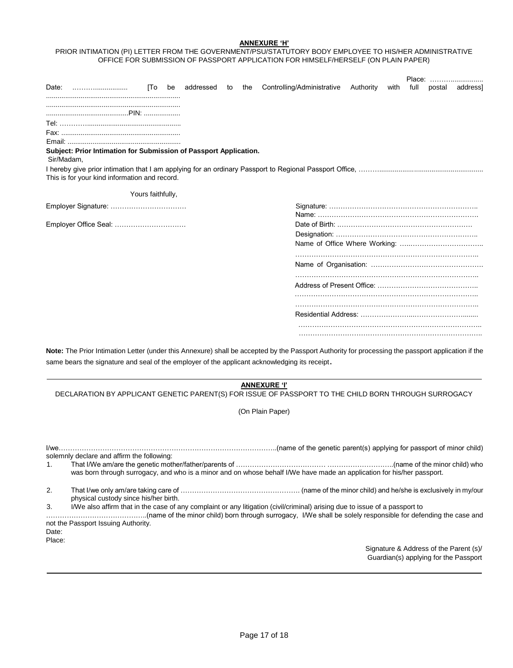### **ANNEXURE 'H'**

# PRIOR INTIMATION (PI) LETTER FROM THE GOVERNMENT/PSU/STATUTORY BODY EMPLOYEE TO HIS/HER ADMINISTRATIVE OFFICE FOR SUBMISSION OF PASSPORT APPLICATION FOR HIMSELF/HERSELF (ON PLAIN PAPER)

|                                                                                 |                   |    |           |    |     |                            |           |      |      | Place:         |
|---------------------------------------------------------------------------------|-------------------|----|-----------|----|-----|----------------------------|-----------|------|------|----------------|
| Date:                                                                           | [To               | be | addressed | to | the | Controlling/Administrative | Authority | with | full | postal address |
|                                                                                 |                   |    |           |    |     |                            |           |      |      |                |
|                                                                                 |                   |    |           |    |     |                            |           |      |      |                |
|                                                                                 |                   |    |           |    |     |                            |           |      |      |                |
|                                                                                 |                   |    |           |    |     |                            |           |      |      |                |
|                                                                                 |                   |    |           |    |     |                            |           |      |      |                |
| Subject: Prior Intimation for Submission of Passport Application.<br>Sir/Madam, |                   |    |           |    |     |                            |           |      |      |                |
| This is for your kind information and record.                                   |                   |    |           |    |     |                            |           |      |      |                |
|                                                                                 | Yours faithfully, |    |           |    |     |                            |           |      |      |                |
| Employer Signature:                                                             |                   |    |           |    |     |                            |           |      |      |                |
| Employer Office Seal:                                                           |                   |    |           |    |     |                            |           |      |      |                |
|                                                                                 |                   |    |           |    |     |                            |           |      |      |                |
|                                                                                 |                   |    |           |    |     |                            |           |      |      |                |
|                                                                                 |                   |    |           |    |     |                            |           |      |      |                |
|                                                                                 |                   |    |           |    |     |                            |           |      |      |                |
|                                                                                 |                   |    |           |    |     |                            |           |      |      |                |
|                                                                                 |                   |    |           |    |     |                            |           |      |      |                |
|                                                                                 |                   |    |           |    |     |                            |           |      |      |                |
|                                                                                 |                   |    |           |    |     |                            |           |      |      |                |

**Note:** The Prior Intimation Letter (under this Annexure) shall be accepted by the Passport Authority for processing the passport application if the same bears the signature and seal of the employer of the applicant acknowledging its receipt.

#### **ANNEXURE 'I'**

DECLARATION BY APPLICANT GENETIC PARENT(S) FOR ISSUE OF PASSPORT TO THE CHILD BORN THROUGH SURROGACY

(On Plain Paper)

|                 | solemnly declare and affirm the following:                                                                                                                         |
|-----------------|--------------------------------------------------------------------------------------------------------------------------------------------------------------------|
| $1_{\cdot}$     | was born through surrogacy, and who is a minor and on whose behalf I/We have made an application for his/her passport.                                             |
| 2.              | physical custody since his/her birth.                                                                                                                              |
| 3.              | I/We also affirm that in the case of any complaint or any litigation (civil/criminal) arising due to issue of a passport to<br>not the Passport Issuing Authority. |
| Date:<br>Place: |                                                                                                                                                                    |
|                 | Signature & Address of the Parent (s)/<br>Guardian(s) applying for the Passport                                                                                    |